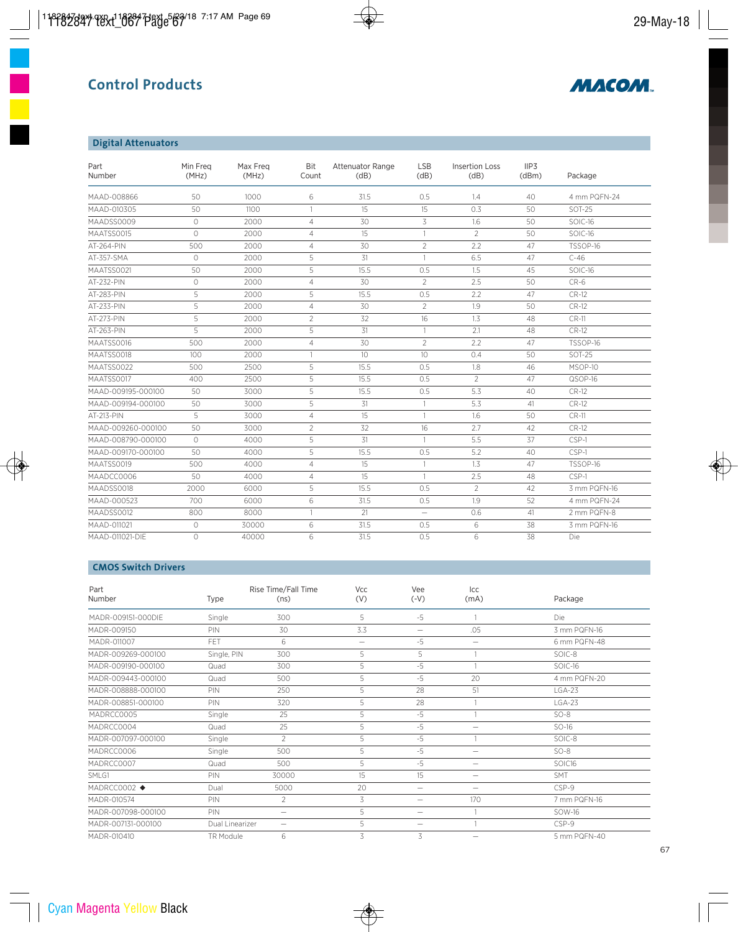# **Control Products**



### **Digital Attenuators**

| Part<br>Number     | Min Freg<br>(MHz)   | Max Freg<br>(MHz) | Bit<br>Count   | <b>Attenuator Range</b><br>(dB) | <b>LSB</b><br>(dB) | <b>Insertion Loss</b><br>(dB) | IIP3<br>(dBm) | Package       |
|--------------------|---------------------|-------------------|----------------|---------------------------------|--------------------|-------------------------------|---------------|---------------|
| MAAD-008866        | 50                  | 1000              | 6              | 31.5                            | 0.5                | 1.4                           | 40            | 4 mm PQFN-24  |
| MAAD-010305        | 50                  | 1100              | $\mathbf{1}$   | 15                              | 15                 | 0.3                           | 50            | <b>SOT-25</b> |
| MAADSS0009         | $\bigcirc$          | 2000              | $\overline{4}$ | 30                              | 3                  | 1.6                           | 50            | SOIC-16       |
| MAATSS0015         | $\bigcirc$          | 2000              | $\overline{4}$ | 15                              | $\mathbf{1}$       | $\overline{2}$                | 50            | SOIC-16       |
| AT-264-PIN         | 500                 | 2000              | $\overline{4}$ | 30                              | $\overline{2}$     | 2.2                           | 47            | TSSOP-16      |
| AT-357-SMA         | $\circlearrowright$ | 2000              | 5              | 31                              | $\mathbf{1}$       | 6.5                           | 47            | $C-46$        |
| MAATSS0021         | 50                  | 2000              | 5              | 15.5                            | 0.5                | 1.5                           | 45            | SOIC-16       |
| AT-232-PIN         | $\circ$             | 2000              | $\overline{4}$ | 30                              | $\overline{2}$     | 2.5                           | 50            | $CR-6$        |
| AT-283-PIN         | 5                   | 2000              | 5              | 15.5                            | 0.5                | 2.2                           | 47            | <b>CR-12</b>  |
| AT-233-PIN         | 5                   | 2000              | $\overline{4}$ | 30                              | $\overline{2}$     | 1.9                           | 50            | <b>CR-12</b>  |
| AT-273-PIN         | 5                   | 2000              | $\overline{2}$ | 32                              | 16                 | 1.3                           | 48            | CR-11         |
| AT-263-PIN         | 5                   | 2000              | 5              | 31                              | $\mathbf{1}$       | 2.1                           | 48            | <b>CR-12</b>  |
| MAATSS0016         | 500                 | 2000              | $\overline{4}$ | 30                              | $\overline{2}$     | 2.2                           | 47            | TSSOP-16      |
| MAATSS0018         | 100                 | 2000              | $\overline{1}$ | 10 <sup>1</sup>                 | 10 <sup>1</sup>    | 0.4                           | 50            | <b>SOT-25</b> |
| MAATSS0022         | 500                 | 2500              | 5              | 15.5                            | 0.5                | 1.8                           | 46            | MSOP-10       |
| MAATSS0017         | 400                 | 2500              | 5              | 15.5                            | 0.5                | $\overline{2}$                | 47            | QSOP-16       |
| MAAD-009195-000100 | 50                  | 3000              | 5              | 15.5                            | 0.5                | 5.3                           | 40            | $CR-12$       |
| MAAD-009194-000100 | 50                  | 3000              | 5              | 31                              | $\mathbf{1}$       | 5.3                           | 41            | <b>CR-12</b>  |
| AT-213-PIN         | 5                   | 3000              | $\overline{4}$ | 15                              | $\mathbf{1}$       | 1.6                           | 50            | CR-11         |
| MAAD-009260-000100 | 50                  | 3000              | $\overline{2}$ | 32                              | 16                 | 2.7                           | 42            | <b>CR-12</b>  |
| MAAD-008790-000100 | $\circ$             | 4000              | 5              | 31                              | $\mathbf{1}$       | 5.5                           | 37            | CSP-1         |
| MAAD-009170-000100 | 50                  | 4000              | 5              | 15.5                            | 0.5                | 5.2                           | 40            | CSP-1         |
| MAATSS0019         | 500                 | 4000              | $\overline{4}$ | 15                              | $\mathbf{1}$       | 1.3                           | 47            | TSSOP-16      |
| MAADCC0006         | 50                  | 4000              | $\overline{4}$ | 15                              | $\mathbf{1}$       | 2.5                           | 48            | CSP-1         |
| MAADSS0018         | 2000                | 6000              | 5              | 15.5                            | 0.5                | $\overline{2}$                | 42            | 3 mm PQFN-16  |
| MAAD-000523        | 700                 | 6000              | 6              | 31.5                            | 0.5                | 1.9                           | 52            | 4 mm PQFN-24  |
| MAADSS0012         | 800                 | 8000              | $\mathbf{1}$   | 21                              | $\equiv$           | 0.6                           | 41            | 2 mm PQFN-8   |
| MAAD-011021        | $\circ$             | 30000             | 6              | 31.5                            | 0.5                | 6                             | 38            | 3 mm PQFN-16  |
| MAAD-011021-DIE    | $\circ$             | 40000             | 6              | 31.5                            | 0.5                | 6                             | 38            | Die           |

### **CMOS Switch Drivers**

| Part<br>Number     | Type            | Rise Time/Fall Time<br>(ns) | Vcc<br>(V)        | Vee<br>$(V-\)$           | Icc<br>(mA)              | Package      |
|--------------------|-----------------|-----------------------------|-------------------|--------------------------|--------------------------|--------------|
| MADR-009151-000DIF | Single          | 300                         | 5                 | $-5$                     |                          | Die          |
| MADR-009150        | PIN             | 30                          | 3.3               | $\overline{\phantom{0}}$ | .05                      | 3 mm PQFN-16 |
| MADR-011007        | FET             | 6                           | $\qquad \qquad -$ | $-5$                     | $\equiv$                 | 6 mm PQFN-48 |
| MADR-009269-000100 | Single, PIN     | 300                         | 5                 | 5                        |                          | SOIC-8       |
| MADR-009190-000100 | Quad            | 300                         | 5                 | $-5$                     |                          | SOIC-16      |
| MADR-009443-000100 | Quad            | 500                         | 5                 | $-5$                     | 20                       | 4 mm PQFN-20 |
| MADR-008888-000100 | PIN             | 250                         | 5                 | 28                       | 51                       | $LGA-23$     |
| MADR-008851-000100 | PIN             | 320                         | 5                 | 28                       |                          | $LGA-23$     |
| MADRCC0005         | Single          | 25                          | 5                 | $-5$                     |                          | $SO-8$       |
| MADRCC0004         | Quad            | 25                          | 5                 | $-5$                     | $\overline{\phantom{0}}$ | $SO-16$      |
| MADR-007097-000100 | Single          | $\overline{2}$              | 5                 | $-5$                     |                          | SOIC-8       |
| MADRCC0006         | Single          | 500                         | 5                 | $-5$                     | $\overline{\phantom{0}}$ | $SO-8$       |
| MADRCC0007         | Quad            | 500                         | 5                 | $-5$                     | $\overline{\phantom{0}}$ | SOIC16       |
| SMLG1              | PIN             | 30000                       | 15                | 15                       | -                        | <b>SMT</b>   |
| MADRCC0002 ◆       | Dual            | 5000                        | 20                | $\overline{\phantom{0}}$ | $\equiv$                 | CSP-9        |
| MADR-010574        | PIN             | $\overline{2}$              | 3                 | $\overline{\phantom{0}}$ | 170                      | 7 mm PQFN-16 |
| MADR-007098-000100 | PIN             | -                           | 5                 | $\overline{\phantom{0}}$ |                          | SOW-16       |
| MADR-007131-000100 | Dual Linearizer | -                           | 5                 | $\overline{\phantom{0}}$ |                          | CSP-9        |
| MADR-010410        | TR Module       | 6                           | 3                 | 3                        | —                        | 5 mm PQFN-40 |